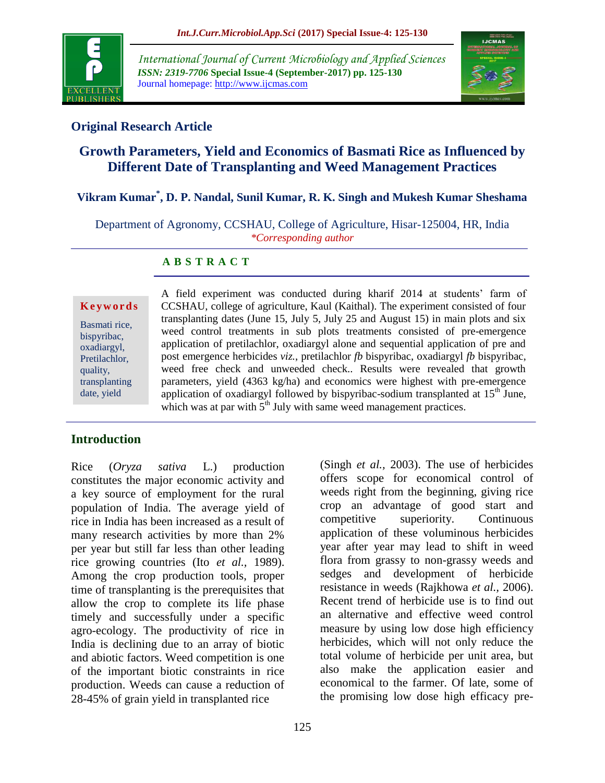

*International Journal of Current Microbiology and Applied Sciences ISSN: 2319-7706* **Special Issue-4 (September-2017) pp. 125-130** Journal homepage: http://www.ijcmas.com



## **Original Research Article**

# **Growth Parameters, Yield and Economics of Basmati Rice as Influenced by Different Date of Transplanting and Weed Management Practices**

# **Vikram Kumar\* , D. P. Nandal, Sunil Kumar, R. K. Singh and Mukesh Kumar Sheshama**

Department of Agronomy, CCSHAU, College of Agriculture, Hisar-125004, HR, India *\*Corresponding author*

### **A B S T R A C T**

#### **K e y w o r d s**

Basmati rice, bispyribac, oxadiargyl, Pretilachlor, quality, transplanting date, yield

A field experiment was conducted during kharif 2014 at students' farm of CCSHAU, college of agriculture, Kaul (Kaithal). The experiment consisted of four transplanting dates (June 15, July 5, July 25 and August 15) in main plots and six weed control treatments in sub plots treatments consisted of pre-emergence application of pretilachlor, oxadiargyl alone and sequential application of pre and post emergence herbicides *viz.*, pretilachlor *fb* bispyribac, oxadiargyl *fb* bispyribac, weed free check and unweeded check.. Results were revealed that growth parameters, yield (4363 kg/ha) and economics were highest with pre-emergence application of oxadiargyl followed by bispyribac-sodium transplanted at  $15<sup>th</sup>$  June, which was at par with  $5<sup>th</sup>$  July with same weed management practices.

### **Introduction**

Rice (*Oryza sativa* L.) production constitutes the major economic activity and a key source of employment for the rural population of India. The average yield of rice in India has been increased as a result of many research activities by more than 2% per year but still far less than other leading rice growing countries (Ito *et al.,* 1989). Among the crop production tools, proper time of transplanting is the prerequisites that allow the crop to complete its life phase timely and successfully under a specific agro-ecology. The productivity of rice in India is declining due to an array of biotic and abiotic factors. Weed competition is one of the important biotic constraints in rice production. Weeds can cause a reduction of 28-45% of grain yield in transplanted rice

(Singh *et al.,* 2003). The use of herbicides offers scope for economical control of weeds right from the beginning, giving rice crop an advantage of good start and competitive superiority. Continuous application of these voluminous herbicides year after year may lead to shift in weed flora from grassy to non-grassy weeds and sedges and development of herbicide resistance in weeds (Rajkhowa *et al.,* 2006). Recent trend of herbicide use is to find out an alternative and effective weed control measure by using low dose high efficiency herbicides, which will not only reduce the total volume of herbicide per unit area, but also make the application easier and economical to the farmer. Of late, some of the promising low dose high efficacy pre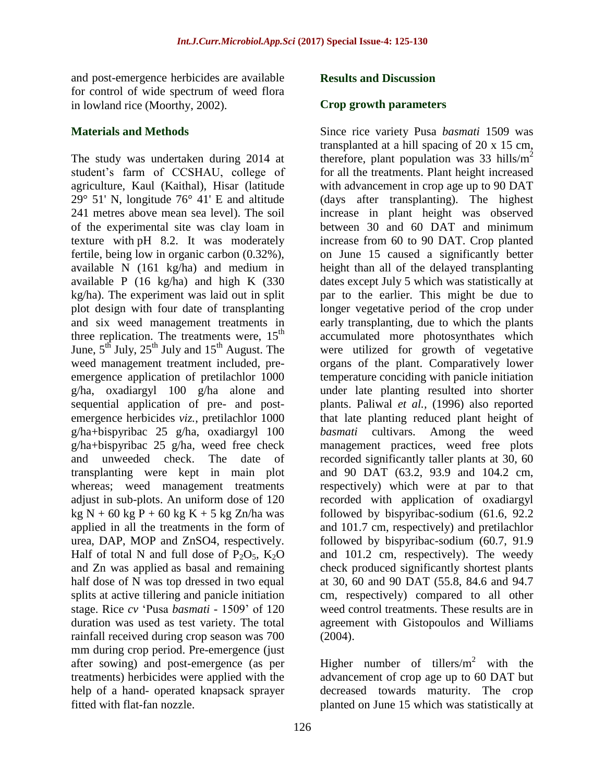and post-emergence herbicides are available for control of wide spectrum of weed flora in lowland rice (Moorthy, 2002).

#### **Materials and Methods**

The study was undertaken during 2014 at student's farm of CCSHAU, college of agriculture, Kaul (Kaithal), Hisar (latitude 29° 51' N, longitude 76° 41' E and altitude 241 metres above mean sea level). The soil of the experimental site was clay loam in texture with pH 8.2. It was moderately fertile, being low in organic carbon (0.32%), available N (161 kg/ha) and medium in available P (16 kg/ha) and high K (330 kg/ha). The experiment was laid out in split plot design with four date of transplanting and six weed management treatments in three replication. The treatments were,  $15<sup>th</sup>$ June,  $5^{th}$  July,  $25^{th}$  July and  $15^{th}$  August. The weed management treatment included, preemergence application of pretilachlor 1000 g/ha, oxadiargyl 100 g/ha alone and sequential application of pre- and postemergence herbicides *viz.*, pretilachlor 1000 g/ha+bispyribac 25 g/ha, oxadiargyl 100 g/ha+bispyribac 25 g/ha, weed free check and unweeded check. The date of transplanting were kept in main plot whereas; weed management treatments adjust in sub-plots. An uniform dose of 120 kg N + 60 kg P + 60 kg K + 5 kg Zn/ha was applied in all the treatments in the form of urea, DAP, MOP and ZnSO4, respectively. Half of total N and full dose of  $P_2O_5$ ,  $K_2O$ and Zn was applied as basal and remaining half dose of N was top dressed in two equal splits at active tillering and panicle initiation stage. Rice *cv* 'Pusa *basmati* - 1509' of 120 duration was used as test variety. The total rainfall received during crop season was 700 mm during crop period. Pre-emergence (just after sowing) and post-emergence (as per treatments) herbicides were applied with the help of a hand- operated knapsack sprayer fitted with flat-fan nozzle.

#### **Results and Discussion**

#### **Crop growth parameters**

Since rice variety Pusa *basmati* 1509 was transplanted at a hill spacing of 20 x 15 cm, therefore, plant population was  $33$  hills/m<sup>2</sup> for all the treatments. Plant height increased with advancement in crop age up to 90 DAT (days after transplanting). The highest increase in plant height was observed between 30 and 60 DAT and minimum increase from 60 to 90 DAT. Crop planted on June 15 caused a significantly better height than all of the delayed transplanting dates except July 5 which was statistically at par to the earlier. This might be due to longer vegetative period of the crop under early transplanting, due to which the plants accumulated more photosynthates which were utilized for growth of vegetative organs of the plant. Comparatively lower temperature conciding with panicle initiation under late planting resulted into shorter plants. Paliwal *et al.,* (1996) also reported that late planting reduced plant height of *basmati* cultivars. Among the weed management practices, weed free plots recorded significantly taller plants at 30, 60 and 90 DAT (63.2, 93.9 and 104.2 cm, respectively) which were at par to that recorded with application of oxadiargyl followed by bispyribac-sodium (61.6, 92.2 and 101.7 cm, respectively) and pretilachlor followed by bispyribac-sodium (60.7, 91.9 and 101.2 cm, respectively). The weedy check produced significantly shortest plants at 30, 60 and 90 DAT (55.8, 84.6 and 94.7 cm, respectively) compared to all other weed control treatments. These results are in agreement with Gistopoulos and Williams  $(2004)$ .

Higher number of tillers/ $m^2$  with the advancement of crop age up to 60 DAT but decreased towards maturity. The crop planted on June 15 which was statistically at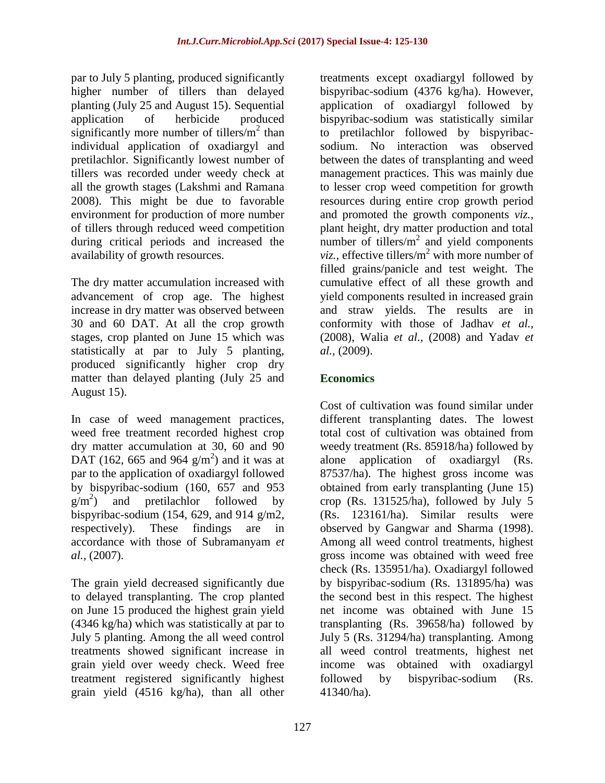par to July 5 planting, produced significantly higher number of tillers than delayed planting (July 25 and August 15). Sequential application of herbicide produced significantly more number of tillers/ $m^2$  than individual application of oxadiargyl and pretilachlor. Significantly lowest number of tillers was recorded under weedy check at all the growth stages (Lakshmi and Ramana 2008). This might be due to favorable environment for production of more number of tillers through reduced weed competition during critical periods and increased the availability of growth resources.

The dry matter accumulation increased with advancement of crop age. The highest increase in dry matter was observed between 30 and 60 DAT. At all the crop growth stages, crop planted on June 15 which was statistically at par to July 5 planting, produced significantly higher crop dry matter than delayed planting (July 25 and August 15).

In case of weed management practices, weed free treatment recorded highest crop dry matter accumulation at 30, 60 and 90 DAT (162, 665 and 964  $g/m<sup>2</sup>$ ) and it was at par to the application of oxadiargyl followed by bispyribac-sodium (160, 657 and 953  $g/m^2$ ) and pretilachlor followed by bispyribac-sodium (154, 629, and 914  $g/m2$ , respectively). These findings are in accordance with those of Subramanyam *et al.,* (2007).

The grain yield decreased significantly due to delayed transplanting. The crop planted on June 15 produced the highest grain yield (4346 kg/ha) which was statistically at par to July 5 planting. Among the all weed control treatments showed significant increase in grain yield over weedy check. Weed free treatment registered significantly highest grain yield (4516 kg/ha), than all other

treatments except oxadiargyl followed by bispyribac-sodium (4376 kg/ha). However, application of oxadiargyl followed by bispyribac-sodium was statistically similar to pretilachlor followed by bispyribacsodium. No interaction was observed between the dates of transplanting and weed management practices. This was mainly due to lesser crop weed competition for growth resources during entire crop growth period and promoted the growth components *viz.,*  plant height, dry matter production and total number of tillers/ $m^2$  and yield components *viz.*, effective tillers/ $m^2$  with more number of filled grains/panicle and test weight. The cumulative effect of all these growth and yield components resulted in increased grain and straw yields. The results are in conformity with those of Jadhav *et al.,* (2008), Walia *et al.,* (2008) and Yadav *et al.,* (2009).

# **Economics**

Cost of cultivation was found similar under different transplanting dates. The lowest total cost of cultivation was obtained from weedy treatment (Rs. 85918/ha) followed by alone application of oxadiargyl (Rs. 87537/ha). The highest gross income was obtained from early transplanting (June 15) crop (Rs. 131525/ha), followed by July 5 (Rs. 123161/ha). Similar results were observed by Gangwar and Sharma (1998). Among all weed control treatments, highest gross income was obtained with weed free check (Rs. 135951/ha). Oxadiargyl followed by bispyribac-sodium (Rs. 131895/ha) was the second best in this respect. The highest net income was obtained with June 15 transplanting (Rs. 39658/ha) followed by July 5 (Rs. 31294/ha) transplanting. Among all weed control treatments, highest net income was obtained with oxadiargyl followed by bispyribac-sodium (Rs. 41340/ha).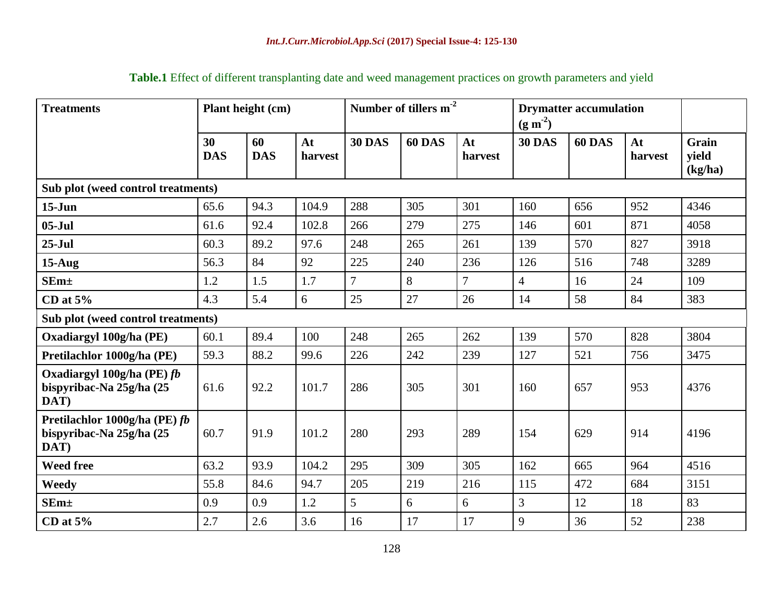| <b>Treatments</b>                                                 |                  | Plant height (cm) |               |                | Number of tillers m <sup>-2</sup> |                | <b>Drymatter accumulation</b><br>$(g m-2)$ |        |               |                           |
|-------------------------------------------------------------------|------------------|-------------------|---------------|----------------|-----------------------------------|----------------|--------------------------------------------|--------|---------------|---------------------------|
|                                                                   | 30<br><b>DAS</b> | 60<br><b>DAS</b>  | At<br>harvest | <b>30 DAS</b>  | 60 DAS                            | At<br>harvest  | <b>30 DAS</b>                              | 60 DAS | At<br>harvest | Grain<br>vield<br>(kg/ha) |
| Sub plot (weed control treatments)                                |                  |                   |               |                |                                   |                |                                            |        |               |                           |
| $15 - Jun$                                                        | 65.6             | 94.3              | 104.9         | 288            | 305                               | 301            | 160                                        | 656    | 952           | 4346                      |
| $05-Jul$                                                          | 61.6             | 92.4              | 102.8         | 266            | 279                               | 275            | 146                                        | 601    | 871           | 4058                      |
| $25-Jul$                                                          | 60.3             | 89.2              | 97.6          | 248            | 265                               | 261            | 139                                        | 570    | 827           | 3918                      |
| $15-Aug$                                                          | 56.3             | 84                | 92            | 225            | 240                               | 236            | 126                                        | 516    | 748           | 3289                      |
| $SEm+$                                                            | 1.2              | 1.5               | 1.7           | $\overline{7}$ | 8                                 | $\overline{7}$ | $\overline{4}$                             | 16     | 24            | 109                       |
| CD at $5%$                                                        | 4.3              | 5.4               | 6             | 25             | 27                                | 26             | 14                                         | 58     | 84            | 383                       |
| Sub plot (weed control treatments)                                |                  |                   |               |                |                                   |                |                                            |        |               |                           |
| Oxadiargyl 100g/ha (PE)                                           | 60.1             | 89.4              | 100           | 248            | 265                               | 262            | 139                                        | 570    | 828           | 3804                      |
| Pretilachlor 1000g/ha (PE)                                        | 59.3             | 88.2              | 99.6          | 226            | 242                               | 239            | 127                                        | 521    | 756           | 3475                      |
| Oxadiargyl 100g/ha (PE) fb<br>bispyribac-Na 25g/ha (25<br>DAT)    | 61.6             | 92.2              | 101.7         | 286            | 305                               | 301            | 160                                        | 657    | 953           | 4376                      |
| Pretilachlor 1000g/ha (PE) fb<br>bispyribac-Na 25g/ha (25<br>DAT) | 60.7             | 91.9              | 101.2         | 280            | 293                               | 289            | 154                                        | 629    | 914           | 4196                      |
| <b>Weed free</b>                                                  | 63.2             | 93.9              | 104.2         | 295            | 309                               | 305            | 162                                        | 665    | 964           | 4516                      |
| Weedy                                                             | 55.8             | 84.6              | 94.7          | 205            | 219                               | 216            | 115                                        | 472    | 684           | 3151                      |
| $SEm\pm$                                                          | 0.9              | 0.9               | 1.2           | 5              | 6                                 | 6              | 3                                          | 12     | 18            | 83                        |
| CD at $5%$                                                        | 2.7              | 2.6               | 3.6           | 16             | 17                                | 17             | 9                                          | 36     | 52            | 238                       |

**Table.1** Effect of different transplanting date and weed management practices on growth parameters and yield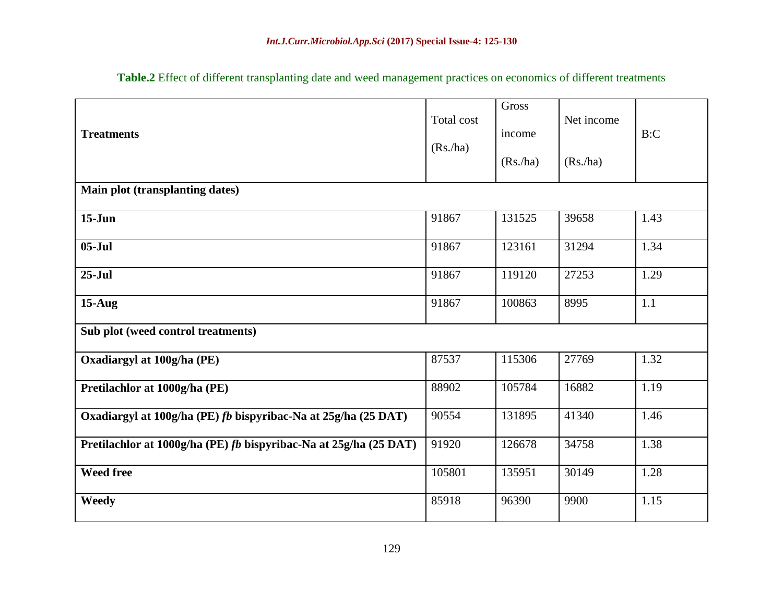| <b>Treatments</b>                                                 | Total cost<br>(Rs/ha) | Gross<br>income<br>(Rs/ha) | Net income<br>(Rs/ha) | B:C  |  |  |  |  |  |  |
|-------------------------------------------------------------------|-----------------------|----------------------------|-----------------------|------|--|--|--|--|--|--|
| Main plot (transplanting dates)                                   |                       |                            |                       |      |  |  |  |  |  |  |
| $15-Jun$                                                          | 91867                 | 131525                     | 39658                 | 1.43 |  |  |  |  |  |  |
| $05-Jul$                                                          | 91867                 | 123161                     | 31294                 | 1.34 |  |  |  |  |  |  |
| $25-Jul$                                                          | 91867                 | 119120                     | 27253                 | 1.29 |  |  |  |  |  |  |
| $15-Aug$                                                          | 91867                 | 100863                     | 8995                  | 1.1  |  |  |  |  |  |  |
| Sub plot (weed control treatments)                                |                       |                            |                       |      |  |  |  |  |  |  |
| Oxadiargyl at 100g/ha (PE)                                        | 87537                 | 115306                     | 27769                 | 1.32 |  |  |  |  |  |  |
| Pretilachlor at 1000g/ha (PE)                                     | 88902                 | 105784                     | 16882                 | 1.19 |  |  |  |  |  |  |
| Oxadiargyl at 100g/ha (PE) fb bispyribac-Na at 25g/ha (25 DAT)    | 90554                 | 131895                     | 41340                 | 1.46 |  |  |  |  |  |  |
| Pretilachlor at 1000g/ha (PE) fb bispyribac-Na at 25g/ha (25 DAT) | 91920                 | 126678                     | 34758                 | 1.38 |  |  |  |  |  |  |
| <b>Weed free</b>                                                  | 105801                | 135951                     | 30149                 | 1.28 |  |  |  |  |  |  |
| <b>Weedy</b>                                                      | 85918                 | 96390                      | 9900                  | 1.15 |  |  |  |  |  |  |

**Table.2** Effect of different transplanting date and weed management practices on economics of different treatments